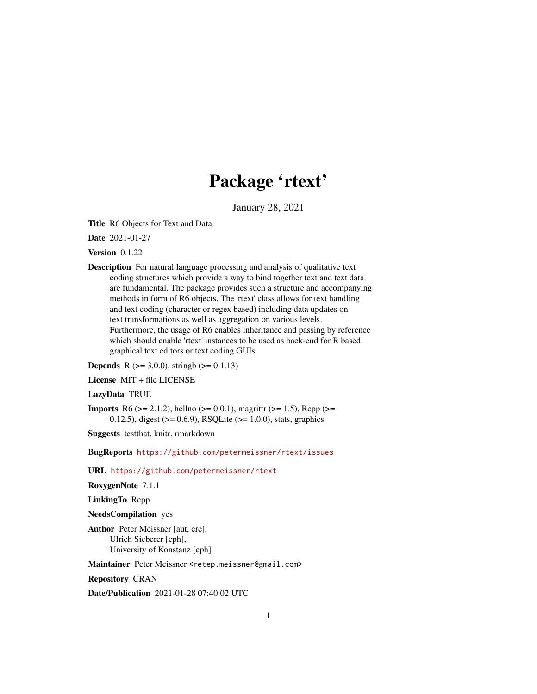# Package 'rtext'

January 28, 2021

<span id="page-0-0"></span>Title R6 Objects for Text and Data

Date 2021-01-27

Version 0.1.22

Description For natural language processing and analysis of qualitative text coding structures which provide a way to bind together text and text data are fundamental. The package provides such a structure and accompanying methods in form of R6 objects. The 'rtext' class allows for text handling and text coding (character or regex based) including data updates on text transformations as well as aggregation on various levels. Furthermore, the usage of R6 enables inheritance and passing by reference which should enable 'rtext' instances to be used as back-end for R based graphical text editors or text coding GUIs.

**Depends** R ( $>= 3.0.0$ ), stringb ( $>= 0.1.13$ )

License MIT + file LICENSE

#### LazyData TRUE

**Imports** R6 ( $>= 2.1.2$ ), hellno ( $>= 0.0.1$ ), magrittr ( $>= 1.5$ ), Rcpp ( $>= 1.5$ ) 0.12.5), digest  $(>= 0.6.9)$ , RSQLite  $(>= 1.0.0)$ , stats, graphics

Suggests testthat, knitr, rmarkdown

BugReports <https://github.com/petermeissner/rtext/issues>

URL <https://github.com/petermeissner/rtext>

RoxygenNote 7.1.1

LinkingTo Rcpp

NeedsCompilation yes

Author Peter Meissner [aut, cre], Ulrich Sieberer [cph], University of Konstanz [cph]

Maintainer Peter Meissner <retep.meissner@gmail.com>

Repository CRAN

Date/Publication 2021-01-28 07:40:02 UTC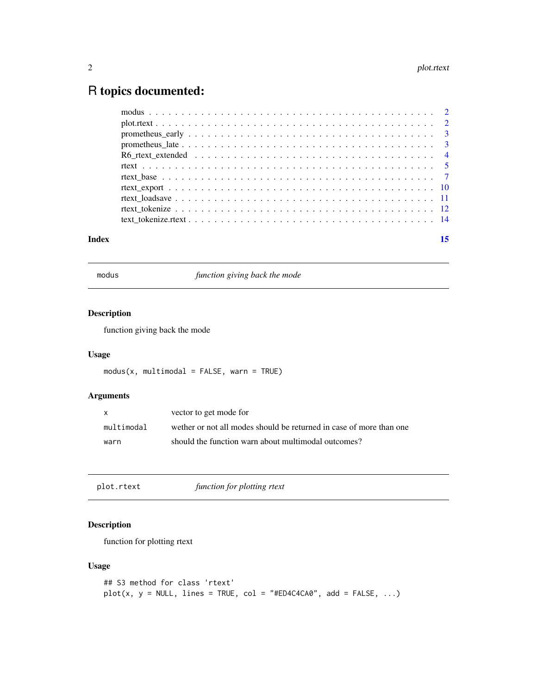## <span id="page-1-0"></span>R topics documented:

| Index | 15 |
|-------|----|
|       |    |
|       |    |
|       |    |
|       |    |
|       |    |
|       |    |
|       |    |
|       |    |
|       |    |
|       |    |
|       |    |

modus *function giving back the mode*

#### Description

function giving back the mode

#### Usage

 $modus(x, multimodal = FALSE, warn = TRUE)$ 

#### Arguments

| X          | vector to get mode for                                              |
|------------|---------------------------------------------------------------------|
| multimodal | wether or not all modes should be returned in case of more than one |
| warn       | should the function warn about multimodal outcomes?                 |

plot.rtext *function for plotting rtext*

#### Description

function for plotting rtext

#### Usage

```
## S3 method for class 'rtext'
plot(x, y = NULL, lines = TRUE, col = "#ED4C4CA0", add = FALSE, ...)
```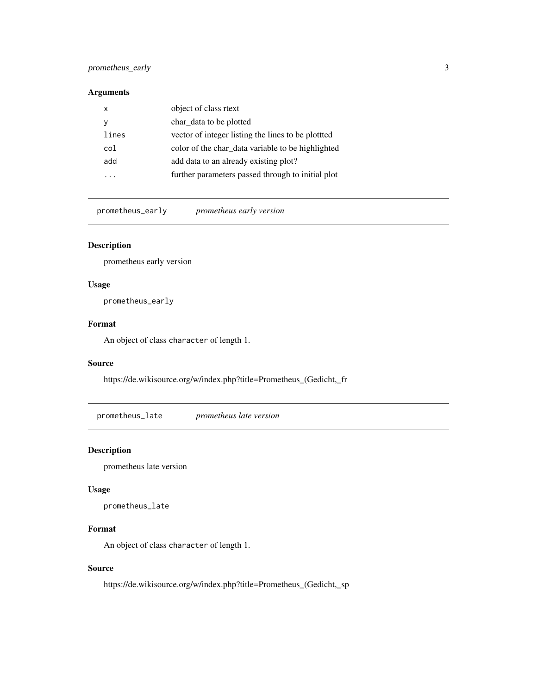#### <span id="page-2-0"></span>prometheus\_early 3

#### Arguments

| х               | object of class rtext                             |
|-----------------|---------------------------------------------------|
| у               | char data to be plotted                           |
| lines           | vector of integer listing the lines to be plotted |
| co <sub>1</sub> | color of the char_data variable to be highlighted |
| add             | add data to an already existing plot?             |
|                 | further parameters passed through to initial plot |
|                 |                                                   |

prometheus\_early *prometheus early version*

#### Description

prometheus early version

#### Usage

prometheus\_early

#### Format

An object of class character of length 1.

#### Source

https://de.wikisource.org/w/index.php?title=Prometheus\_(Gedicht,\_fr

prometheus\_late *prometheus late version*

#### Description

prometheus late version

#### Usage

prometheus\_late

#### Format

An object of class character of length 1.

#### Source

https://de.wikisource.org/w/index.php?title=Prometheus\_(Gedicht,\_sp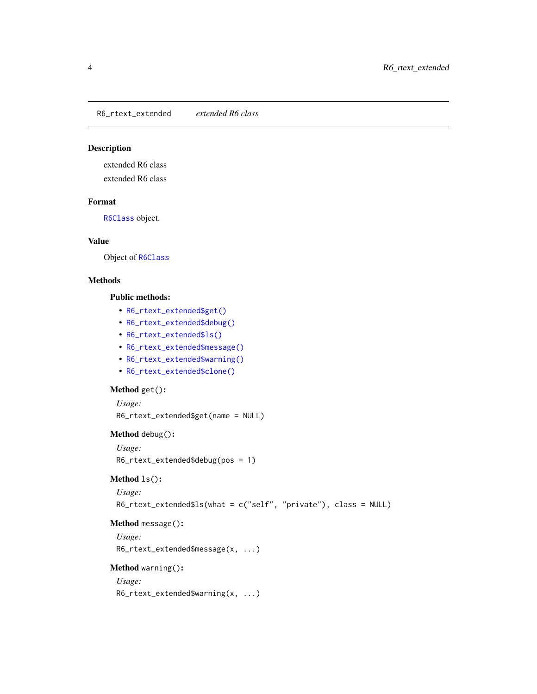<span id="page-3-0"></span>R6\_rtext\_extended *extended R6 class*

#### Description

extended R6 class extended R6 class

#### Format

[R6Class](#page-0-0) object.

#### Value

Object of [R6Class](#page-0-0)

#### Methods

#### Public methods:

- [R6\\_rtext\\_extended\\$get\(\)](#page-3-1)
- [R6\\_rtext\\_extended\\$debug\(\)](#page-3-2)
- [R6\\_rtext\\_extended\\$ls\(\)](#page-3-3)
- [R6\\_rtext\\_extended\\$message\(\)](#page-3-4)
- [R6\\_rtext\\_extended\\$warning\(\)](#page-3-5)
- [R6\\_rtext\\_extended\\$clone\(\)](#page-3-6)

#### <span id="page-3-1"></span>Method get():

```
Usage:
R6_rtext_extended$get(name = NULL)
```
#### <span id="page-3-2"></span>Method debug():

*Usage:* R6\_rtext\_extended\$debug(pos = 1)

#### <span id="page-3-3"></span>Method ls():

```
Usage:
R6_rtext_extended$ls(what = c("self", "private"), class = NULL)
```
#### <span id="page-3-4"></span>Method message():

*Usage:* R6\_rtext\_extended\$message(x, ...)

#### <span id="page-3-5"></span>Method warning():

<span id="page-3-6"></span>*Usage:* R6\_rtext\_extended\$warning(x, ...)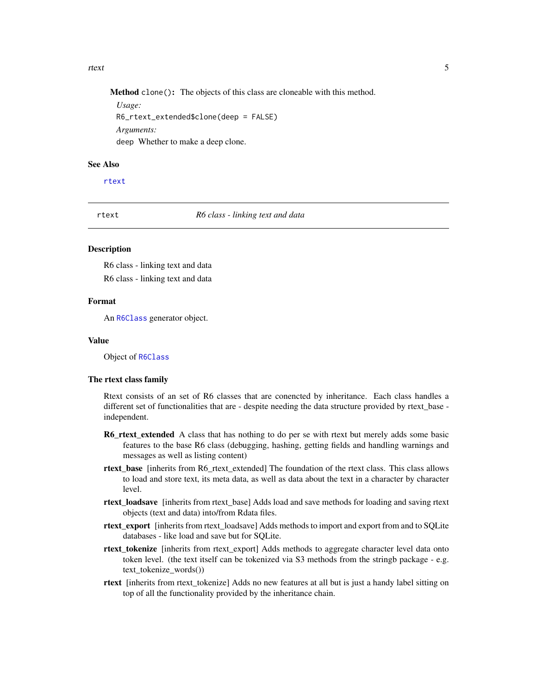#### <span id="page-4-0"></span>rtext 5

Method clone(): The objects of this class are cloneable with this method.

*Usage:* R6\_rtext\_extended\$clone(deep = FALSE) *Arguments:* deep Whether to make a deep clone.

#### See Also

[rtext](#page-4-1)

<span id="page-4-1"></span>rtext *R6 class - linking text and data*

#### Description

R6 class - linking text and data R6 class - linking text and data

#### Format

An [R6Class](#page-0-0) generator object.

#### Value

Object of [R6Class](#page-0-0)

#### The rtext class family

Rtext consists of an set of R6 classes that are conencted by inheritance. Each class handles a different set of functionalities that are - despite needing the data structure provided by rtext\_base independent.

- **R6\_rtext\_extended** A class that has nothing to do per se with rtext but merely adds some basic features to the base R6 class (debugging, hashing, getting fields and handling warnings and messages as well as listing content)
- rtext\_base [inherits from R6\_rtext\_extended] The foundation of the rtext class. This class allows to load and store text, its meta data, as well as data about the text in a character by character level.
- rtext\_loadsave [inherits from rtext\_base] Adds load and save methods for loading and saving rtext objects (text and data) into/from Rdata files.
- rtext\_export [inherits from rtext\_loadsave] Adds methods to import and export from and to SQLite databases - like load and save but for SQLite.
- rtext\_tokenize [inherits from rtext\_export] Adds methods to aggregate character level data onto token level. (the text itself can be tokenized via S3 methods from the stringb package - e.g. text\_tokenize\_words())
- rtext [inherits from rtext\_tokenize] Adds no new features at all but is just a handy label sitting on top of all the functionality provided by the inheritance chain.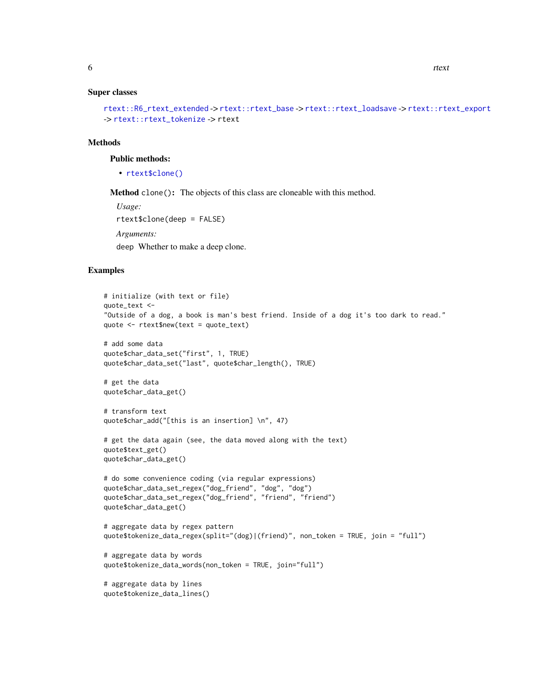#### <span id="page-5-0"></span>Super classes

```
rtext::R6_rtext_extended -> rtext::rtext_base -> rtext::rtext_loadsave -> rtext::rtext_export
-> rtext::rtext_tokenize -> rtext
```
#### **Methods**

#### Public methods:

• [rtext\\$clone\(\)](#page-3-6)

Method clone(): The objects of this class are cloneable with this method.

```
Usage:
rtext$clone(deep = FALSE)
Arguments:
deep Whether to make a deep clone.
```
#### Examples

```
# initialize (with text or file)
quote_text <-
"Outside of a dog, a book is man's best friend. Inside of a dog it's too dark to read."
quote <- rtext$new(text = quote_text)
# add some data
quote$char_data_set("first", 1, TRUE)
quote$char_data_set("last", quote$char_length(), TRUE)
# get the data
quote$char_data_get()
# transform text
quote$char_add("[this is an insertion] \n", 47)
# get the data again (see, the data moved along with the text)
quote$text_get()
quote$char_data_get()
# do some convenience coding (via regular expressions)
quote$char_data_set_regex("dog_friend", "dog", "dog")
quote$char_data_set_regex("dog_friend", "friend", "friend")
quote$char_data_get()
# aggregate data by regex pattern
quote$tokenize_data_regex(split="(dog)|(friend)", non_token = TRUE, join = "full")
# aggregate data by words
quote$tokenize_data_words(non_token = TRUE, join="full")
# aggregate data by lines
quote$tokenize_data_lines()
```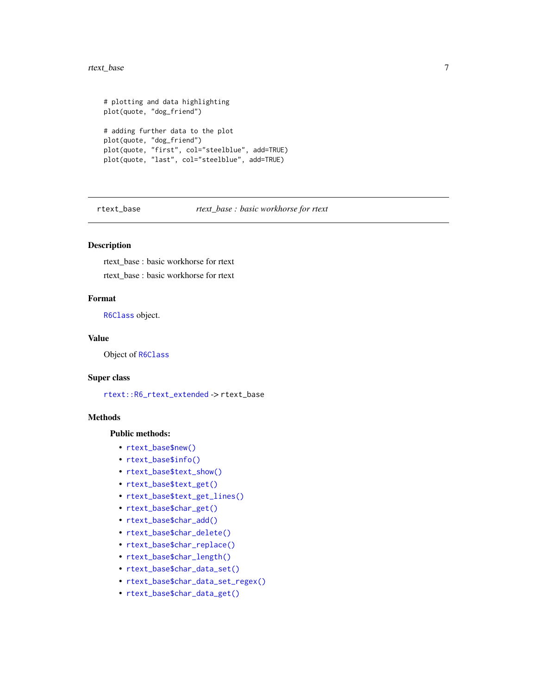#### <span id="page-6-0"></span>rtext\_base 7

```
# plotting and data highlighting
plot(quote, "dog_friend")
# adding further data to the plot
plot(quote, "dog_friend")
plot(quote, "first", col="steelblue", add=TRUE)
plot(quote, "last", col="steelblue", add=TRUE)
```
rtext\_base *rtext\_base : basic workhorse for rtext*

#### Description

rtext\_base : basic workhorse for rtext

rtext\_base : basic workhorse for rtext

#### Format

[R6Class](#page-0-0) object.

#### Value

Object of [R6Class](#page-0-0)

#### Super class

[rtext::R6\\_rtext\\_extended](#page-0-0) -> rtext\_base

#### Methods

#### Public methods:

- [rtext\\_base\\$new\(\)](#page-7-0)
- [rtext\\_base\\$info\(\)](#page-7-1)
- [rtext\\_base\\$text\\_show\(\)](#page-7-2)
- [rtext\\_base\\$text\\_get\(\)](#page-7-3)
- [rtext\\_base\\$text\\_get\\_lines\(\)](#page-7-4)
- [rtext\\_base\\$char\\_get\(\)](#page-7-5)
- [rtext\\_base\\$char\\_add\(\)](#page-7-6)
- [rtext\\_base\\$char\\_delete\(\)](#page-7-7)
- [rtext\\_base\\$char\\_replace\(\)](#page-8-0)
- [rtext\\_base\\$char\\_length\(\)](#page-8-1)
- [rtext\\_base\\$char\\_data\\_set\(\)](#page-8-2)
- [rtext\\_base\\$char\\_data\\_set\\_regex\(\)](#page-8-3)
- [rtext\\_base\\$char\\_data\\_get\(\)](#page-8-4)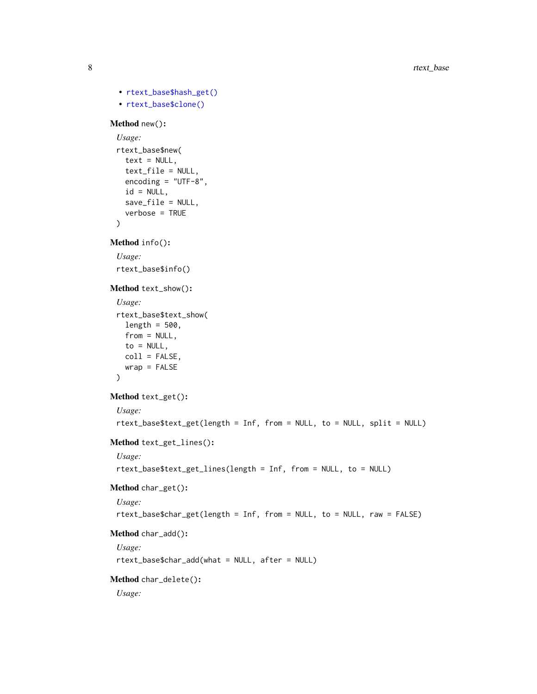```
• rtext_base$hash_get()
  • rtext_base$clone()
Method new():
 Usage:
 rtext_base$new(
   text = NULL,text_file = NULL,
   encoding = "UTF-8",
   id = NULL,save_file = NULL,
   verbose = TRUE
 )
Method info():
 Usage:
 rtext_base$info()
Method text_show():
 Usage:
 rtext_base$text_show(
   length = 500,from = NULL,to = NULL,
   coll = FALSE,wrap = FALSE
 \mathcal{L}Method text_get():
 Usage:
 rtext_base$text_get(length = Inf, from = NULL, to = NULL, split = NULL)
Method text_get_lines():
 Usage:
 rtext_base$text_get_lines(length = Inf, from = NULL, to = NULL)
Method char_get():
 Usage:
 rtext_base$char_get(length = Inf, from = NULL, to = NULL, raw = FALSE)
Method char_add():
 Usage:
 rtext_base$char_add(what = NULL, after = NULL)
Method char_delete():
 Usage:
```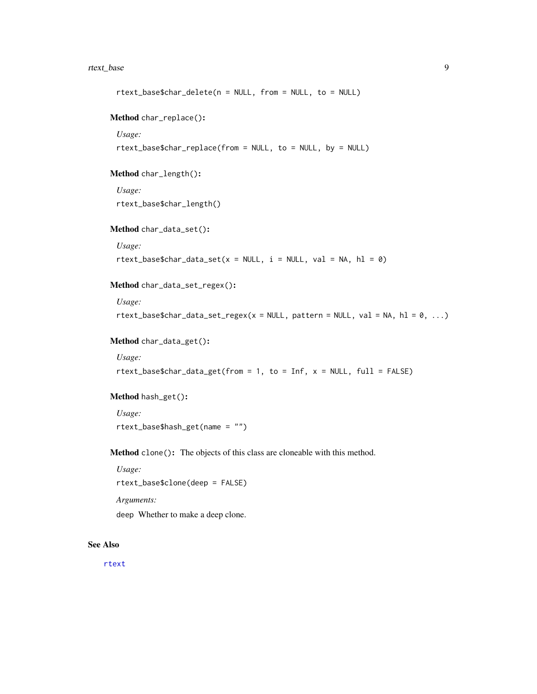#### <span id="page-8-6"></span>rtext\_base 9

```
rtext_base$char_delete(n = NULL, from = NULL, to = NULL)
Method char_replace():
 Usage:
 rtext_base$char_replace(from = NULL, to = NULL, by = NULL)
Method char_length():
 Usage:
 rtext_base$char_length()
Method char_data_set():
 Usage:
 rtext_base$char_data_set(x = NULL, i = NULL, val = NA, hl = 0)Method char_data_set_regex():
 Usage:
 rtext_base$char_data_set_regex(x = NULL, pattern = NULL, val = NA, hl = 0, ...)
Method char_data_get():
 Usage:
 rtext_base$char_data_get(from = 1, to = Inf, x = NULL, full = FALSE)
Method hash_get():
 Usage:
 rtext_base$hash_get(name = "")
```
<span id="page-8-5"></span><span id="page-8-4"></span><span id="page-8-3"></span>Method clone(): The objects of this class are cloneable with this method.

*Usage:*

rtext\_base\$clone(deep = FALSE)

*Arguments:*

deep Whether to make a deep clone.

#### See Also

[rtext](#page-4-1)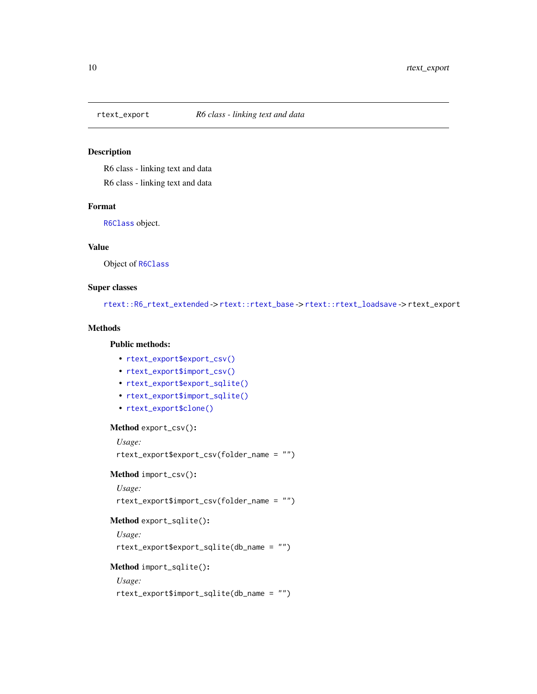<span id="page-9-0"></span>

#### Description

R6 class - linking text and data R6 class - linking text and data

#### Format

[R6Class](#page-0-0) object.

#### Value

Object of [R6Class](#page-0-0)

#### Super classes

[rtext::R6\\_rtext\\_extended](#page-0-0) -> [rtext::rtext\\_base](#page-0-0) -> [rtext::rtext\\_loadsave](#page-0-0) -> rtext\_export

#### Methods

#### Public methods:

- [rtext\\_export\\$export\\_csv\(\)](#page-9-1)
- [rtext\\_export\\$import\\_csv\(\)](#page-9-2)
- [rtext\\_export\\$export\\_sqlite\(\)](#page-9-3)
- [rtext\\_export\\$import\\_sqlite\(\)](#page-9-4)
- [rtext\\_export\\$clone\(\)](#page-3-6)

#### <span id="page-9-1"></span>Method export\_csv():

*Usage:*

rtext\_export\$export\_csv(folder\_name = "")

<span id="page-9-2"></span>Method import\_csv():

*Usage:*

rtext\_export\$import\_csv(folder\_name = "")

#### <span id="page-9-3"></span>Method export\_sqlite():

*Usage:*

rtext\_export\$export\_sqlite(db\_name = "")

#### <span id="page-9-4"></span>Method import\_sqlite():

*Usage:*

rtext\_export\$import\_sqlite(db\_name = "")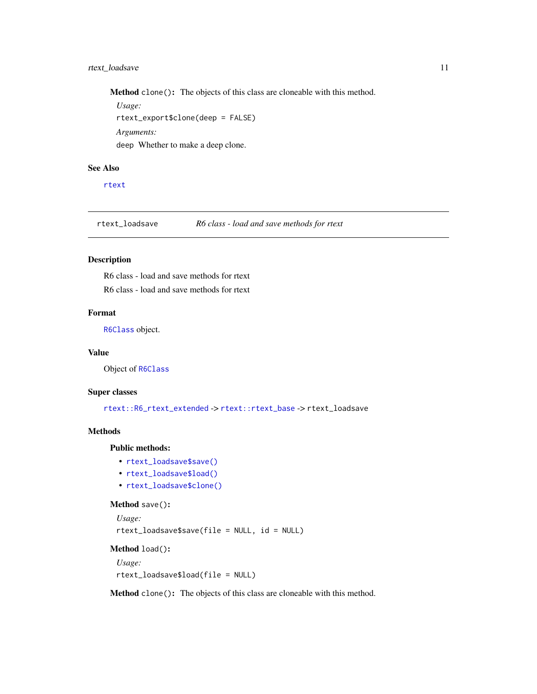#### <span id="page-10-0"></span>rtext\_loadsave 11

Method clone(): The objects of this class are cloneable with this method.

*Usage:* rtext\_export\$clone(deep = FALSE) *Arguments:* deep Whether to make a deep clone.

#### See Also

[rtext](#page-4-1)

rtext\_loadsave *R6 class - load and save methods for rtext*

#### Description

R6 class - load and save methods for rtext

R6 class - load and save methods for rtext

#### Format

[R6Class](#page-0-0) object.

#### Value

Object of [R6Class](#page-0-0)

#### Super classes

[rtext::R6\\_rtext\\_extended](#page-0-0) -> [rtext::rtext\\_base](#page-0-0) -> rtext\_loadsave

#### Methods

#### Public methods:

- [rtext\\_loadsave\\$save\(\)](#page-10-1)
- [rtext\\_loadsave\\$load\(\)](#page-10-2)
- [rtext\\_loadsave\\$clone\(\)](#page-3-6)

#### <span id="page-10-1"></span>Method save():

```
Usage:
rtext_loadsave$save(file = NULL, id = NULL)
```
### <span id="page-10-2"></span>Method load():

```
Usage:
rtext_loadsave$load(file = NULL)
```
Method clone(): The objects of this class are cloneable with this method.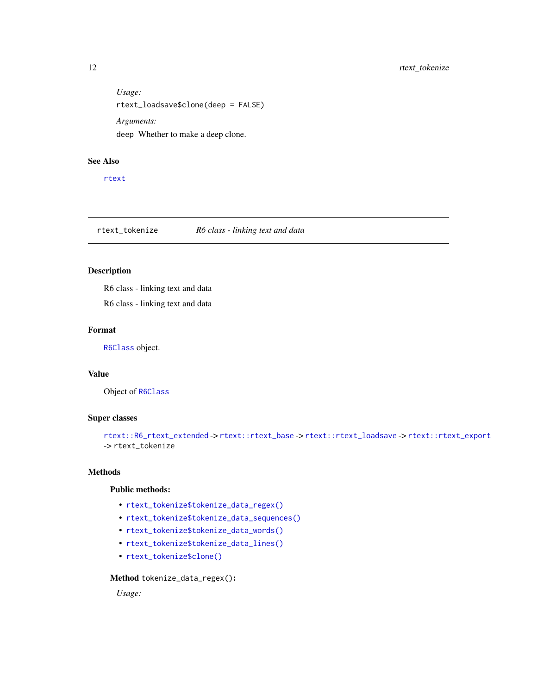<span id="page-11-0"></span>*Usage:* rtext\_loadsave\$clone(deep = FALSE) *Arguments:* deep Whether to make a deep clone.

#### See Also

[rtext](#page-4-1)

#### rtext\_tokenize *R6 class - linking text and data*

#### Description

R6 class - linking text and data

R6 class - linking text and data

#### Format

[R6Class](#page-0-0) object.

#### Value

Object of [R6Class](#page-0-0)

#### Super classes

```
rtext::R6_rtext_extended -> rtext::rtext_base -> rtext::rtext_loadsave -> rtext::rtext_export
-> rtext_tokenize
```
#### Methods

#### Public methods:

- [rtext\\_tokenize\\$tokenize\\_data\\_regex\(\)](#page-11-1)
- [rtext\\_tokenize\\$tokenize\\_data\\_sequences\(\)](#page-12-0)
- [rtext\\_tokenize\\$tokenize\\_data\\_words\(\)](#page-12-1)
- [rtext\\_tokenize\\$tokenize\\_data\\_lines\(\)](#page-12-2)
- [rtext\\_tokenize\\$clone\(\)](#page-3-6)

<span id="page-11-1"></span>Method tokenize\_data\_regex():

*Usage:*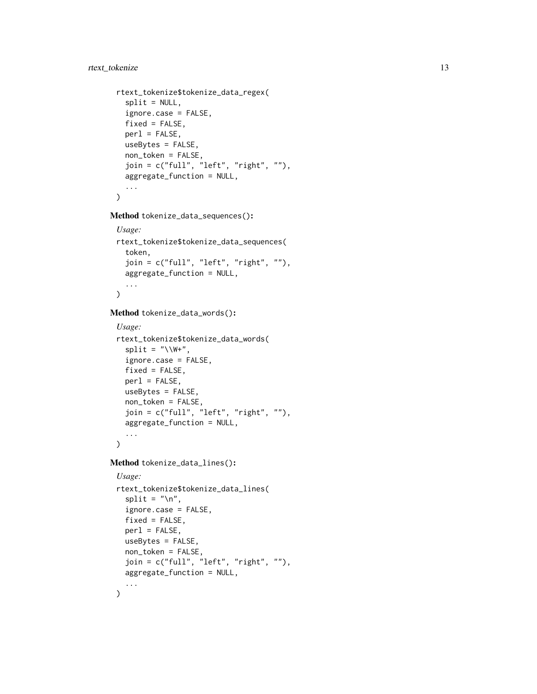#### rtext\_tokenize 13

```
rtext_tokenize$tokenize_data_regex(
 split = NULL,ignore.case = FALSE,
 fixed = FALSE,per1 = FALSE,useBytes = FALSE,
 non_token = FALSE,
  join = c("full", "left", "right", ""),
 aggregate_function = NULL,
  ...
\mathcal{L}
```
<span id="page-12-0"></span>Method tokenize\_data\_sequences():

```
Usage:
rtext_tokenize$tokenize_data_sequences(
  token,
  join = c("full", "left", "right", ""),
  aggregate_function = NULL,
  ...
\mathcal{L}
```
<span id="page-12-1"></span>Method tokenize\_data\_words():

```
Usage:
rtext_tokenize$tokenize_data_words(
 split = "\\W+",
  ignore.case = FALSE,
 fixed = FALSE,
 per1 = FALSE,useBytes = FALSE,
 non_token = FALSE,
 join = c("full", "left", "right", ""),
 aggregate_function = NULL,
  ...
```
 $\mathcal{L}$ 

<span id="page-12-2"></span>Method tokenize\_data\_lines():

```
Usage:
rtext_tokenize$tokenize_data_lines(
 split = " \n\lor n",ignore.case = FALSE,
 fixed = FALSE,per1 = FALSE,useBytes = FALSE,
 non_token = FALSE,
 join = c("full", "left", "right", "aggregate_function = NULL,
  ...
\mathcal{L}
```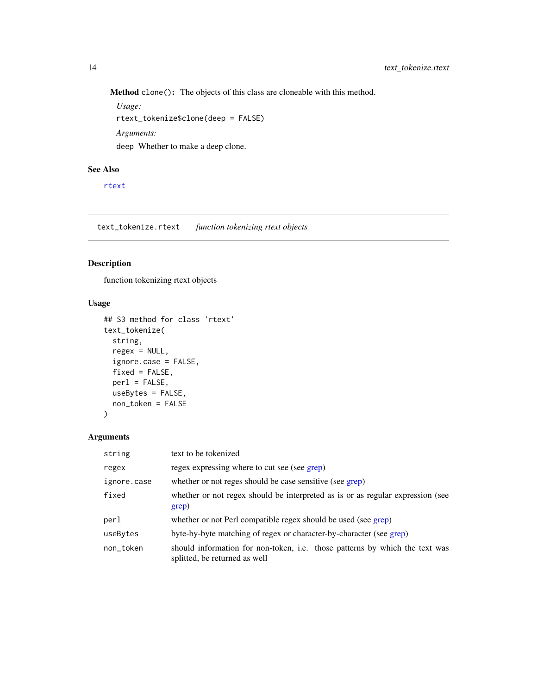<span id="page-13-0"></span>Method clone(): The objects of this class are cloneable with this method.

*Usage:* rtext\_tokenize\$clone(deep = FALSE) *Arguments:* deep Whether to make a deep clone.

#### See Also

[rtext](#page-4-1)

text\_tokenize.rtext *function tokenizing rtext objects*

#### Description

function tokenizing rtext objects

#### Usage

```
## S3 method for class 'rtext'
text_tokenize(
 string,
 regex = NULL,
 ignore.case = FALSE,
 fixed = FALSE,perl = FALSE,
 useBytes = FALSE,
 non_token = FALSE
)
```
#### Arguments

| string      | text to be tokenized                                                                                         |
|-------------|--------------------------------------------------------------------------------------------------------------|
| regex       | regex expressing where to cut see (see grep)                                                                 |
| ignore.case | whether or not reges should be case sensitive (see grep)                                                     |
| fixed       | whether or not regex should be interpreted as is or as regular expression (see<br>grep)                      |
| perl        | whether or not Perl compatible regex should be used (see grep)                                               |
| useBytes    | byte-by-byte matching of regex or character-by-character (see grep)                                          |
| non_token   | should information for non-token, i.e. those patterns by which the text was<br>splitted, be returned as well |